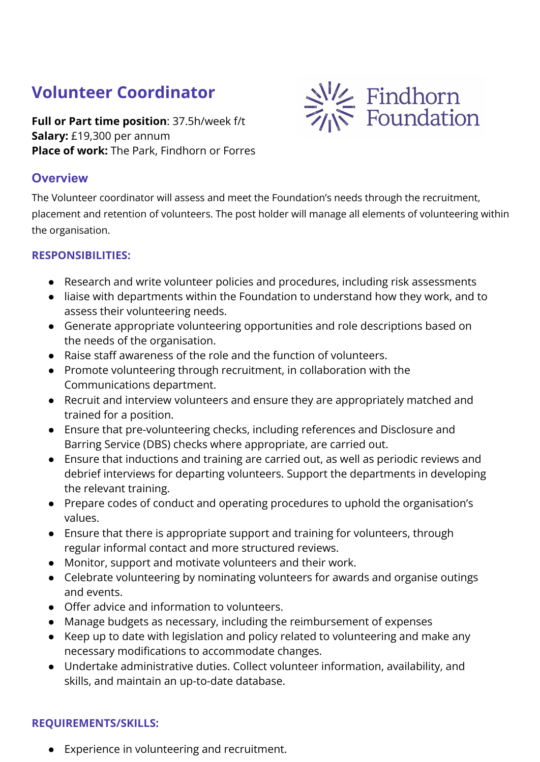## **Volunteer Coordinator**

**Full or Part time position**: 37.5h/week f/t **Salary:** £19,300 per annum **Place of work:** The Park, Findhorn or Forres



The Volunteer coordinator will assess and meet the Foundation's needs through the recruitment, placement and retention of volunteers. The post holder will manage all elements of volunteering within the organisation.

**Example 12**<br>
Foundation

## **RESPONSIBILITIES:**

- Research and write volunteer policies and procedures, including risk assessments
- liaise with departments within the Foundation to understand how they work, and to assess their volunteering needs.
- Generate appropriate volunteering opportunities and role descriptions based on the needs of the organisation.
- Raise staff awareness of the role and the function of volunteers.
- Promote volunteering through recruitment, in collaboration with the Communications department.
- Recruit and interview volunteers and ensure they are appropriately matched and trained for a position.
- Ensure that pre-volunteering checks, including references and Disclosure and Barring Service (DBS) checks where appropriate, are carried out.
- Ensure that inductions and training are carried out, as well as periodic reviews and debrief interviews for departing volunteers. Support the departments in developing the relevant training.
- Prepare codes of conduct and operating procedures to uphold the organisation's values.
- Ensure that there is appropriate support and training for volunteers, through regular informal contact and more structured reviews.
- Monitor, support and motivate volunteers and their work.
- Celebrate volunteering by nominating volunteers for awards and organise outings and events.
- Offer advice and information to volunteers.
- Manage budgets as necessary, including the reimbursement of expenses
- Keep up to date with legislation and policy related to volunteering and make any necessary modifications to accommodate changes.
- Undertake administrative duties. Collect volunteer information, availability, and skills, and maintain an up-to-date database.

## **REQUIREMENTS/SKILLS:**

● Experience in volunteering and recruitment.